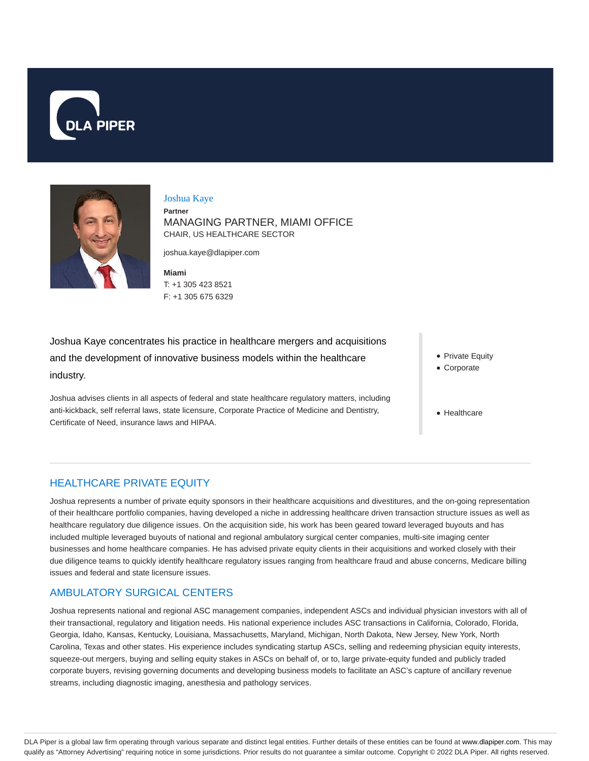



#### Joshua Kaye

**Partner** MANAGING PARTNER, MIAMI OFFICE CHAIR, US HEALTHCARE SECTOR

joshua.kaye@dlapiper.com

**Miami** T: +1 305 423 8521 F: +1 305 675 6329

Joshua Kaye concentrates his practice in healthcare mergers and acquisitions and the development of innovative business models within the healthcare industry.

Joshua advises clients in all aspects of federal and state healthcare regulatory matters, including anti-kickback, self referral laws, state licensure, Corporate Practice of Medicine and Dentistry, Certificate of Need, insurance laws and HIPAA.

- Private Equity
- Corporate
- Healthcare

### HEALTHCARE PRIVATE EQUITY

Joshua represents a number of private equity sponsors in their healthcare acquisitions and divestitures, and the on-going representation of their healthcare portfolio companies, having developed a niche in addressing healthcare driven transaction structure issues as well as healthcare regulatory due diligence issues. On the acquisition side, his work has been geared toward leveraged buyouts and has included multiple leveraged buyouts of national and regional ambulatory surgical center companies, multi-site imaging center businesses and home healthcare companies. He has advised private equity clients in their acquisitions and worked closely with their due diligence teams to quickly identify healthcare regulatory issues ranging from healthcare fraud and abuse concerns, Medicare billing issues and federal and state licensure issues.

### AMBULATORY SURGICAL CENTERS

Joshua represents national and regional ASC management companies, independent ASCs and individual physician investors with all of their transactional, regulatory and litigation needs. His national experience includes ASC transactions in California, Colorado, Florida, Georgia, Idaho, Kansas, Kentucky, Louisiana, Massachusetts, Maryland, Michigan, North Dakota, New Jersey, New York, North Carolina, Texas and other states. His experience includes syndicating startup ASCs, selling and redeeming physician equity interests, squeeze-out mergers, buying and selling equity stakes in ASCs on behalf of, or to, large private-equity funded and publicly traded corporate buyers, revising governing documents and developing business models to facilitate an ASC's capture of ancillary revenue streams, including diagnostic imaging, anesthesia and pathology services.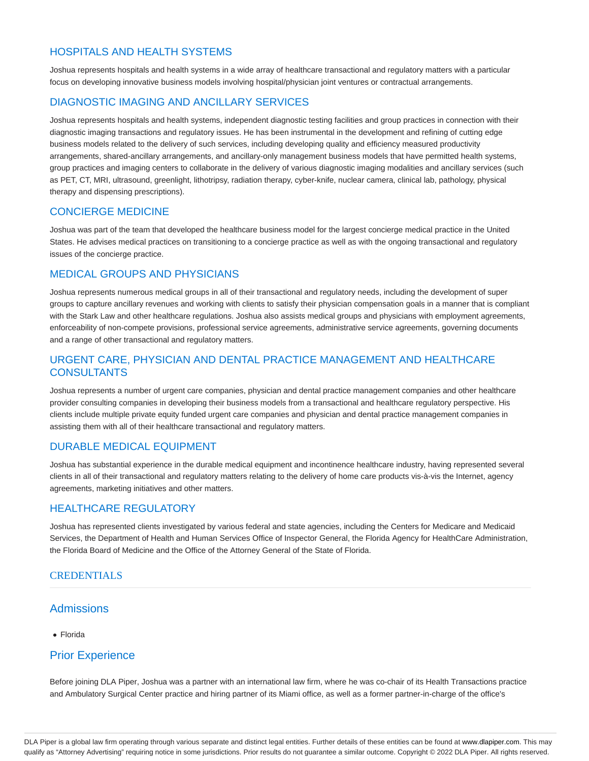## HOSPITALS AND HEALTH SYSTEMS

Joshua represents hospitals and health systems in a wide array of healthcare transactional and regulatory matters with a particular focus on developing innovative business models involving hospital/physician joint ventures or contractual arrangements.

## DIAGNOSTIC IMAGING AND ANCILLARY SERVICES

Joshua represents hospitals and health systems, independent diagnostic testing facilities and group practices in connection with their diagnostic imaging transactions and regulatory issues. He has been instrumental in the development and refining of cutting edge business models related to the delivery of such services, including developing quality and efficiency measured productivity arrangements, shared-ancillary arrangements, and ancillary-only management business models that have permitted health systems, group practices and imaging centers to collaborate in the delivery of various diagnostic imaging modalities and ancillary services (such as PET, CT, MRI, ultrasound, greenlight, lithotripsy, radiation therapy, cyber-knife, nuclear camera, clinical lab, pathology, physical therapy and dispensing prescriptions).

## CONCIERGE MEDICINE

Joshua was part of the team that developed the healthcare business model for the largest concierge medical practice in the United States. He advises medical practices on transitioning to a concierge practice as well as with the ongoing transactional and regulatory issues of the concierge practice.

### MEDICAL GROUPS AND PHYSICIANS

Joshua represents numerous medical groups in all of their transactional and regulatory needs, including the development of super groups to capture ancillary revenues and working with clients to satisfy their physician compensation goals in a manner that is compliant with the Stark Law and other healthcare regulations. Joshua also assists medical groups and physicians with employment agreements, enforceability of non-compete provisions, professional service agreements, administrative service agreements, governing documents and a range of other transactional and regulatory matters.

## URGENT CARE, PHYSICIAN AND DENTAL PRACTICE MANAGEMENT AND HEALTHCARE **CONSULTANTS**

Joshua represents a number of urgent care companies, physician and dental practice management companies and other healthcare provider consulting companies in developing their business models from a transactional and healthcare regulatory perspective. His clients include multiple private equity funded urgent care companies and physician and dental practice management companies in assisting them with all of their healthcare transactional and regulatory matters.

### DURABLE MEDICAL EQUIPMENT

Joshua has substantial experience in the durable medical equipment and incontinence healthcare industry, having represented several clients in all of their transactional and regulatory matters relating to the delivery of home care products vis-à-vis the Internet, agency agreements, marketing initiatives and other matters.

#### HEALTHCARE REGULATORY

Joshua has represented clients investigated by various federal and state agencies, including the Centers for Medicare and Medicaid Services, the Department of Health and Human Services Office of Inspector General, the Florida Agency for HealthCare Administration, the Florida Board of Medicine and the Office of the Attorney General of the State of Florida.

### CREDENTIALS

### Admissions

• Florida

# Prior Experience

Before joining DLA Piper, Joshua was a partner with an international law firm, where he was co-chair of its Health Transactions practice and Ambulatory Surgical Center practice and hiring partner of its Miami office, as well as a former partner-in-charge of the office's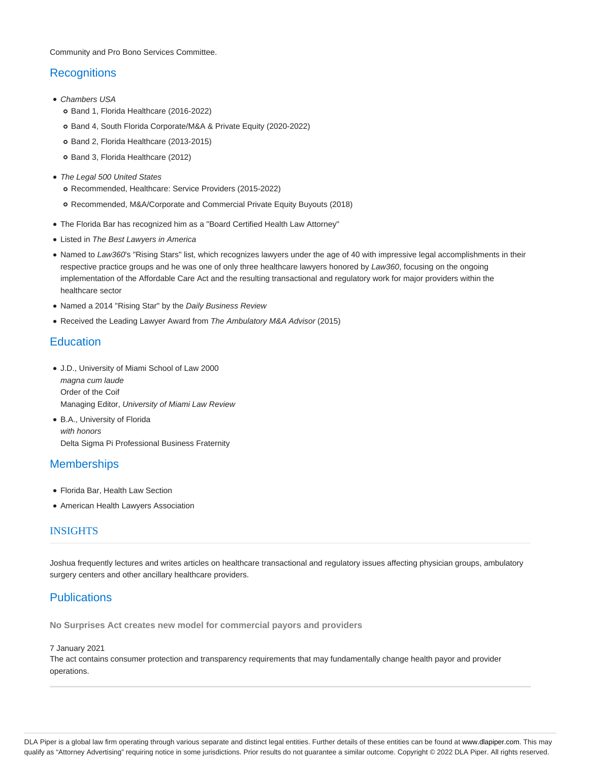Community and Pro Bono Services Committee.

## **Recognitions**

- Chambers USA
	- o Band 1, Florida Healthcare (2016-2022)
	- Band 4, South Florida Corporate/M&A & Private Equity (2020-2022)
	- o Band 2, Florida Healthcare (2013-2015)
	- o Band 3, Florida Healthcare (2012)
- The Legal 500 United States
	- Recommended, Healthcare: Service Providers (2015-2022)
	- Recommended, M&A/Corporate and Commercial Private Equity Buyouts (2018)
- The Florida Bar has recognized him as a "Board Certified Health Law Attorney"
- Listed in The Best Lawyers in America
- Named to Law360's "Rising Stars" list, which recognizes lawyers under the age of 40 with impressive legal accomplishments in their respective practice groups and he was one of only three healthcare lawyers honored by Law360, focusing on the ongoing implementation of the Affordable Care Act and the resulting transactional and regulatory work for major providers within the healthcare sector
- Named a 2014 "Rising Star" by the Daily Business Review
- Received the Leading Lawyer Award from The Ambulatory M&A Advisor (2015)

## **Education**

- J.D., University of Miami School of Law 2000 magna cum laude Order of the Coif Managing Editor, University of Miami Law Review
- B.A., University of Florida with honors Delta Sigma Pi Professional Business Fraternity

# **Memberships**

- Florida Bar, Health Law Section
- American Health Lawyers Association

### **INSIGHTS**

Joshua frequently lectures and writes articles on healthcare transactional and regulatory issues affecting physician groups, ambulatory surgery centers and other ancillary healthcare providers.

# **Publications**

**No Surprises Act creates new model for commercial payors and providers**

#### 7 January 2021

The act contains consumer protection and transparency requirements that may fundamentally change health payor and provider operations.